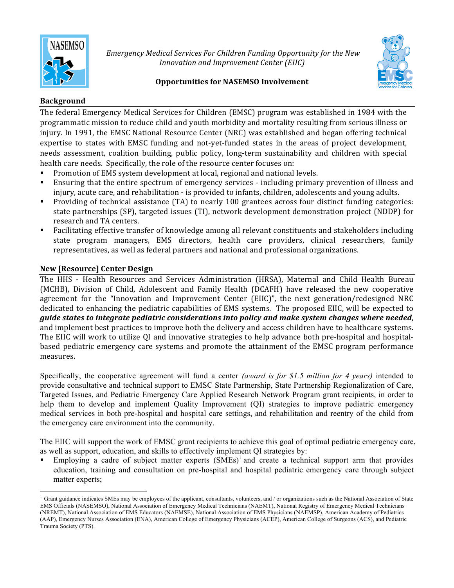

Emergency Medical Services For Children Funding Opportunity for the New *Innovation and Improvement Center (EIIC)* 



# **Opportunities for NASEMSO Involvement**

# **Background**

The federal Emergency Medical Services for Children (EMSC) program was established in 1984 with the programmatic mission to reduce child and youth morbidity and mortality resulting from serious illness or injury. In 1991, the EMSC National Resource Center (NRC) was established and began offering technical expertise to states with EMSC funding and not-yet-funded states in the areas of project development, needs assessment, coalition building, public policy, long-term sustainability and children with special health care needs. Specifically, the role of the resource center focuses on:

- Promotion of EMS system development at local, regional and national levels.
- Ensuring that the entire spectrum of emergency services including primary prevention of illness and injury, acute care, and rehabilitation - is provided to infants, children, adolescents and young adults.
- Providing of technical assistance (TA) to nearly 100 grantees across four distinct funding categories: state partnerships (SP), targeted issues (TI), network development demonstration project (NDDP) for research and TA centers.
- Facilitating effective transfer of knowledge among all relevant constituents and stakeholders including state program managers, EMS directors, health care providers, clinical researchers, family representatives, as well as federal partners and national and professional organizations.

# **New [Resource] Center Design**

 

The HHS - Health Resources and Services Administration (HRSA), Maternal and Child Health Bureau (MCHB), Division of Child, Adolescent and Family Health (DCAFH) have released the new cooperative agreement for the "Innovation and Improvement Center (EIIC)", the next generation/redesigned NRC dedicated to enhancing the pediatric capabilities of EMS systems. The proposed EIIC, will be expected to *guide states to integrate pediatric considerations into policy and make system changes where needed,* and implement best practices to improve both the delivery and access children have to healthcare systems. The EIIC will work to utilize QI and innovative strategies to help advance both pre-hospital and hospitalbased pediatric emergency care systems and promote the attainment of the EMSC program performance measures.

Specifically, the cooperative agreement will fund a center *(award is for \$1.5 million for 4 years)* intended to provide consultative and technical support to EMSC State Partnership, State Partnership Regionalization of Care, Targeted Issues, and Pediatric Emergency Care Applied Research Network Program grant recipients, in order to help them to develop and implement Quality Improvement (QI) strategies to improve pediatric emergency medical services in both pre-hospital and hospital care settings, and rehabilitation and reentry of the child from the emergency care environment into the community.

The EIIC will support the work of EMSC grant recipients to achieve this goal of optimal pediatric emergency care, as well as support, education, and skills to effectively implement QI strategies by:

Employing a cadre of subject matter experts  $(SMEs)^{1}$  and create a technical support arm that provides education, training and consultation on pre-hospital and hospital pediatric emergency care through subject matter experts;

<sup>&</sup>lt;sup>1</sup> Grant guidance indicates SMEs may be employees of the applicant, consultants, volunteers, and / or organizations such as the National Association of State EMS Officials (NASEMSO), National Association of Emergency Medical Technicians (NAEMT), National Registry of Emergency Medical Technicians (NREMT), National Association of EMS Educators (NAEMSE), National Association of EMS Physicians (NAEMSP), American Academy of Pediatrics (AAP), Emergency Nurses Association (ENA), American College of Emergency Physicians (ACEP), American College of Surgeons (ACS), and Pediatric Trauma Society (PTS).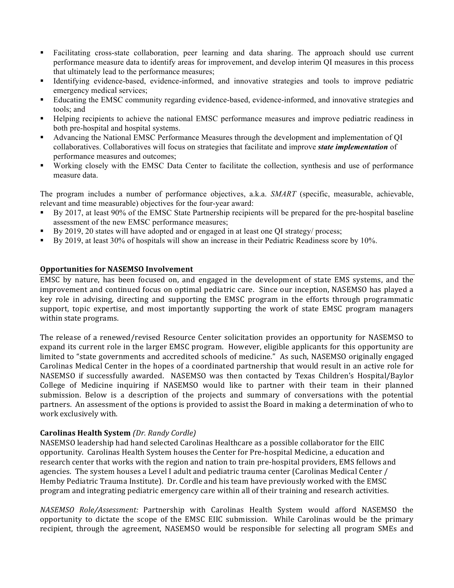- Facilitating cross-state collaboration, peer learning and data sharing. The approach should use current performance measure data to identify areas for improvement, and develop interim QI measures in this process that ultimately lead to the performance measures;
- Identifying evidence-based, evidence-informed, and innovative strategies and tools to improve pediatric emergency medical services;
- § Educating the EMSC community regarding evidence-based, evidence-informed, and innovative strategies and tools; and
- Helping recipients to achieve the national EMSC performance measures and improve pediatric readiness in both pre-hospital and hospital systems.
- § Advancing the National EMSC Performance Measures through the development and implementation of QI collaboratives. Collaboratives will focus on strategies that facilitate and improve *state implementation* of performance measures and outcomes;
- Working closely with the EMSC Data Center to facilitate the collection, synthesis and use of performance measure data.

The program includes a number of performance objectives, a.k.a. *SMART* (specific, measurable, achievable, relevant and time measurable) objectives for the four-year award:

- By 2017, at least 90% of the EMSC State Partnership recipients will be prepared for the pre-hospital baseline assessment of the new EMSC performance measures;
- By 2019, 20 states will have adopted and or engaged in at least one QI strategy/ process;
- § By 2019, at least 30% of hospitals will show an increase in their Pediatric Readiness score by 10%.

### **Opportunities for NASEMSO Involvement**

EMSC by nature, has been focused on, and engaged in the development of state EMS systems, and the improvement and continued focus on optimal pediatric care. Since our inception, NASEMSO has played a key role in advising, directing and supporting the EMSC program in the efforts through programmatic support, topic expertise, and most importantly supporting the work of state EMSC program managers within state programs.

The release of a renewed/revised Resource Center solicitation provides an opportunity for NASEMSO to expand its current role in the larger EMSC program. However, eligible applicants for this opportunity are limited to "state governments and accredited schools of medicine." As such, NASEMSO originally engaged Carolinas Medical Center in the hopes of a coordinated partnership that would result in an active role for NASEMSO if successfully awarded. NASEMSO was then contacted by Texas Children's Hospital/Baylor College of Medicine inquiring if NASEMSO would like to partner with their team in their planned submission. Below is a description of the projects and summary of conversations with the potential partners. An assessment of the options is provided to assist the Board in making a determination of who to work exclusively with.

### **Carolinas Health System** *(Dr. Randy Cordle)*

NASEMSO leadership had hand selected Carolinas Healthcare as a possible collaborator for the EIIC opportunity. Carolinas Health System houses the Center for Pre-hospital Medicine, a education and research center that works with the region and nation to train pre-hospital providers, EMS fellows and agencies. The system houses a Level I adult and pediatric trauma center (Carolinas Medical Center / Hemby Pediatric Trauma Institute). Dr. Cordle and his team have previously worked with the EMSC program and integrating pediatric emergency care within all of their training and research activities.

*NASEMSO Role/Assessment:*  Partnership with Carolinas Health System would afford NASEMSO the opportunity to dictate the scope of the EMSC EIIC submission. While Carolinas would be the primary recipient, through the agreement, NASEMSO would be responsible for selecting all program SMEs and